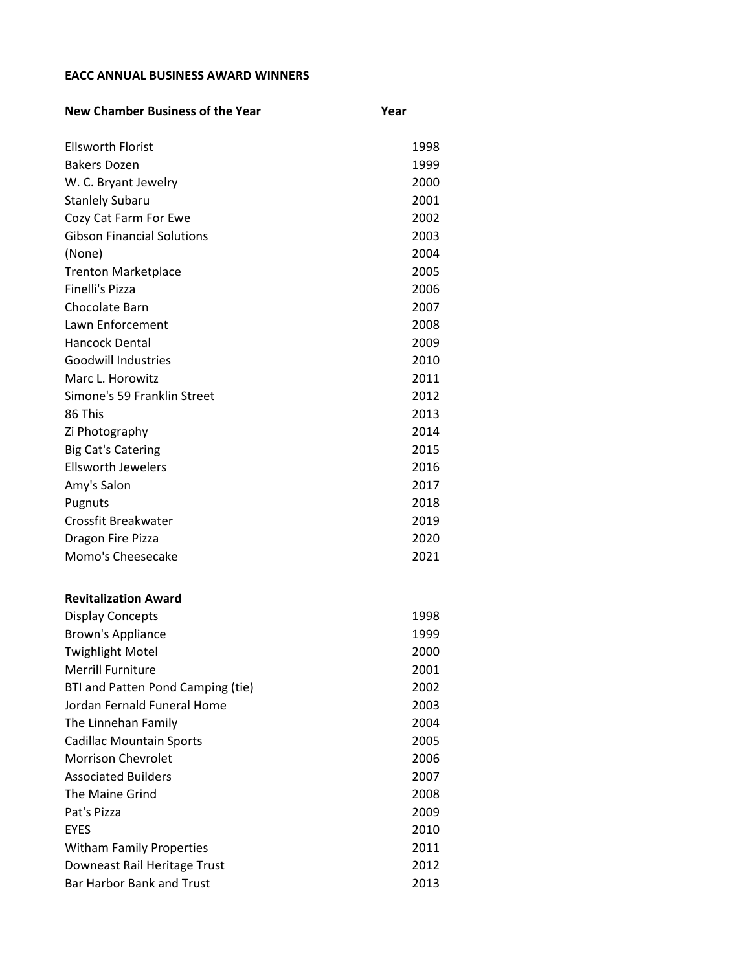## **EACC ANNUAL BUSINESS AWARD WINNERS**

| <b>New Chamber Business of the Year</b> | Year |
|-----------------------------------------|------|
| <b>Ellsworth Florist</b>                | 1998 |
| <b>Bakers Dozen</b>                     | 1999 |
| W. C. Bryant Jewelry                    | 2000 |
| <b>Stanlely Subaru</b>                  | 2001 |
| Cozy Cat Farm For Ewe                   | 2002 |
| <b>Gibson Financial Solutions</b>       | 2003 |
| (None)                                  | 2004 |
| <b>Trenton Marketplace</b>              | 2005 |
| <b>Finelli's Pizza</b>                  | 2006 |
| Chocolate Barn                          | 2007 |
| Lawn Enforcement                        | 2008 |
| <b>Hancock Dental</b>                   | 2009 |
| <b>Goodwill Industries</b>              | 2010 |
| Marc L. Horowitz                        | 2011 |
| Simone's 59 Franklin Street             | 2012 |
| 86 This                                 | 2013 |
| Zi Photography                          | 2014 |
| <b>Big Cat's Catering</b>               | 2015 |
| <b>Ellsworth Jewelers</b>               | 2016 |
| Amy's Salon                             | 2017 |
| Pugnuts                                 | 2018 |
| Crossfit Breakwater                     | 2019 |
| Dragon Fire Pizza                       | 2020 |
| Momo's Cheesecake                       | 2021 |
| <b>Revitalization Award</b>             |      |
| <b>Display Concepts</b>                 | 1998 |
| <b>Brown's Appliance</b>                | 1999 |
| <b>Twighlight Motel</b>                 | 2000 |
| <b>Merrill Furniture</b>                | 2001 |
| BTI and Patten Pond Camping (tie)       | 2002 |
| Jordan Fernald Funeral Home             | 2003 |
| The Linnehan Family                     | 2004 |
| <b>Cadillac Mountain Sports</b>         | 2005 |
| <b>Morrison Chevrolet</b>               | 2006 |
| <b>Associated Builders</b>              | 2007 |
| <b>The Maine Grind</b>                  | 2008 |
| Pat's Pizza                             | 2009 |
| <b>EYES</b>                             | 2010 |
| <b>Witham Family Properties</b>         | 2011 |
| Downeast Rail Heritage Trust            | 2012 |
| <b>Bar Harbor Bank and Trust</b>        | 2013 |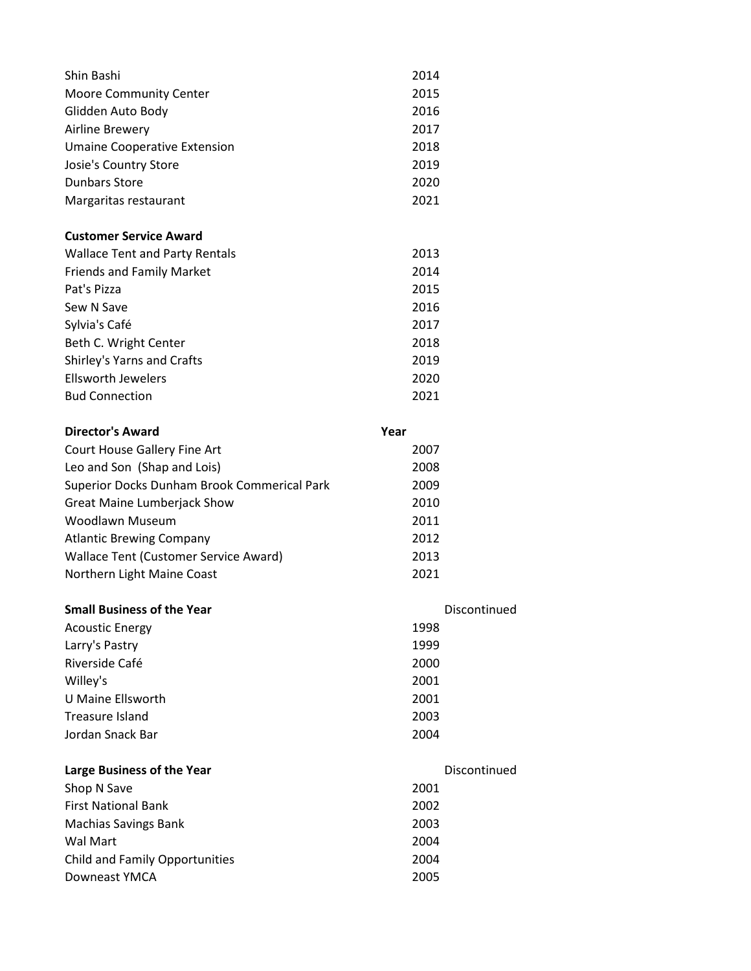| Shin Bashi                                  | 2014         |  |
|---------------------------------------------|--------------|--|
| <b>Moore Community Center</b>               | 2015         |  |
| Glidden Auto Body                           | 2016         |  |
| Airline Brewery                             | 2017         |  |
| <b>Umaine Cooperative Extension</b>         | 2018         |  |
| Josie's Country Store                       | 2019         |  |
| <b>Dunbars Store</b>                        | 2020         |  |
| Margaritas restaurant                       | 2021         |  |
| <b>Customer Service Award</b>               |              |  |
| <b>Wallace Tent and Party Rentals</b>       | 2013         |  |
| <b>Friends and Family Market</b>            | 2014         |  |
| Pat's Pizza                                 | 2015         |  |
| Sew N Save                                  | 2016         |  |
| Sylvia's Café                               | 2017         |  |
| Beth C. Wright Center                       | 2018         |  |
| Shirley's Yarns and Crafts                  | 2019         |  |
| <b>Ellsworth Jewelers</b>                   | 2020         |  |
| <b>Bud Connection</b>                       | 2021         |  |
| <b>Director's Award</b>                     | Year         |  |
| Court House Gallery Fine Art                | 2007         |  |
| Leo and Son (Shap and Lois)                 | 2008         |  |
| Superior Docks Dunham Brook Commerical Park | 2009         |  |
| <b>Great Maine Lumberjack Show</b>          | 2010         |  |
| <b>Woodlawn Museum</b>                      | 2011         |  |
| <b>Atlantic Brewing Company</b>             | 2012         |  |
| Wallace Tent (Customer Service Award)       | 2013         |  |
| Northern Light Maine Coast                  | 2021         |  |
| <b>Small Business of the Year</b>           | Discontinued |  |
| <b>Acoustic Energy</b>                      | 1998         |  |
| Larry's Pastry                              | 1999         |  |
| Riverside Café                              | 2000         |  |
| Willey's                                    | 2001         |  |
| <b>U Maine Ellsworth</b>                    | 2001         |  |
| <b>Treasure Island</b>                      | 2003         |  |
| Jordan Snack Bar                            | 2004         |  |
| Large Business of the Year                  | Discontinued |  |
| Shop N Save                                 | 2001         |  |
| <b>First National Bank</b>                  | 2002         |  |
| <b>Machias Savings Bank</b>                 | 2003         |  |
| Wal Mart                                    | 2004         |  |
| <b>Child and Family Opportunities</b>       | 2004         |  |
| Downeast YMCA                               | 2005         |  |